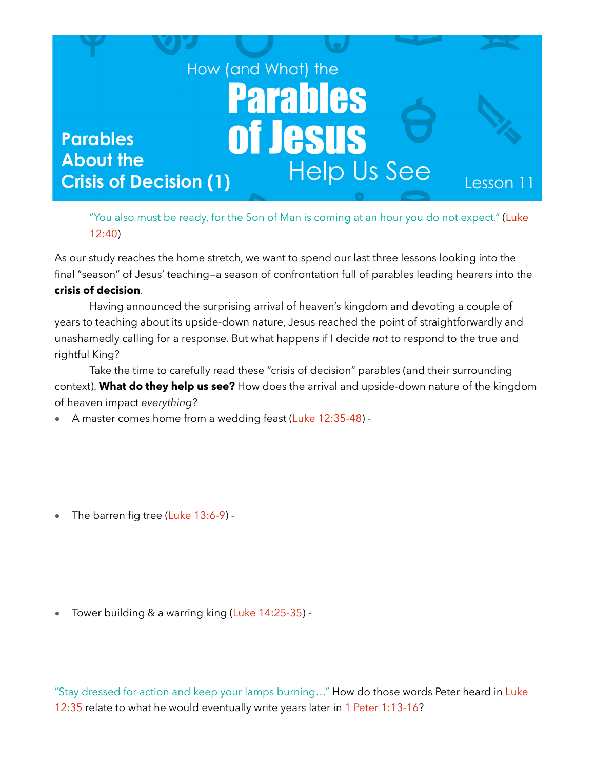

"You also must be ready, for the Son of Man is coming at an hour you do not expect." (Luke 12:40)

As our study reaches the home stretch, we want to spend our last three lessons looking into the final "season" of Jesus' teaching—a season of confrontation full of parables leading hearers into the

## **crisis of decision**.

 Having announced the surprising arrival of heaven's kingdom and devoting a couple of years to teaching about its upside-down nature, Jesus reached the point of straightforwardly and unashamedly calling for a response. But what happens if I decide *not* to respond to the true and rightful King?

 Take the time to carefully read these "crisis of decision" parables (and their surrounding context). **What do they help us see?** How does the arrival and upside-down nature of the kingdom of heaven impact *everything*?

• A master comes home from a wedding feast (Luke 12:35-48) -

• The barren fig tree (Luke 13:6-9) -

• Tower building & a warring king (Luke 14:25-35) -

"Stay dressed for action and keep your lamps burning…" How do those words Peter heard in Luke 12:35 relate to what he would eventually write years later in 1 Peter 1:13-16?